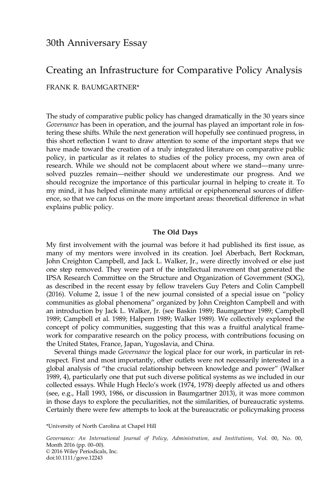## 30th Anniversary Essay

# Creating an Infrastructure for Comparative Policy Analysis

FRANK R. BAUMGARTNER\*

The study of comparative public policy has changed dramatically in the 30 years since Governance has been in operation, and the journal has played an important role in fostering these shifts. While the next generation will hopefully see continued progress, in this short reflection I want to draw attention to some of the important steps that we have made toward the creation of a truly integrated literature on comparative public policy, in particular as it relates to studies of the policy process, my own area of research. While we should not be complacent about where we stand—many unresolved puzzles remain—neither should we underestimate our progress. And we should recognize the importance of this particular journal in helping to create it. To my mind, it has helped eliminate many artificial or epiphenomenal sources of difference, so that we can focus on the more important areas: theoretical difference in what explains public policy.

## The Old Days

My first involvement with the journal was before it had published its first issue, as many of my mentors were involved in its creation. Joel Aberbach, Bert Rockman, John Creighton Campbell, and Jack L. Walker, Jr., were directly involved or else just one step removed. They were part of the intellectual movement that generated the IPSA Research Committee on the Structure and Organization of Government (SOG), as described in the recent essay by fellow travelers Guy Peters and Colin Campbell (2016). Volume 2, issue 1 of the new journal consisted of a special issue on "policy communities as global phenomena" organized by John Creighton Campbell and with an introduction by Jack L. Walker, Jr. (see Baskin 1989; Baumgartner 1989; Campbell 1989; Campbell et al. 1989; Halpern 1989; Walker 1989). We collectively explored the concept of policy communities, suggesting that this was a fruitful analytical framework for comparative research on the policy process, with contributions focusing on the United States, France, Japan, Yugoslavia, and China.

Several things made Governance the logical place for our work, in particular in retrospect. First and most importantly, other outlets were not necessarily interested in a global analysis of "the crucial relationship between knowledge and power" (Walker 1989, 4), particularly one that put such diverse political systems as we included in our collected essays. While Hugh Heclo's work (1974, 1978) deeply affected us and others (see, e.g., Hall 1993, 1986, or discussion in Baumgartner 2013), it was more common in those days to explore the peculiarities, not the similarities, of bureaucratic systems. Certainly there were few attempts to look at the bureaucratic or policymaking process

\*University of North Carolina at Chapel Hill

Governance: An International Journal of Policy, Administration, and Institutions, Vol. 00, No. 00, Month 2016 (pp. 00–00).  $©$  2016 Wiley Periodicals, Inc. doi:10.1111/gove.12243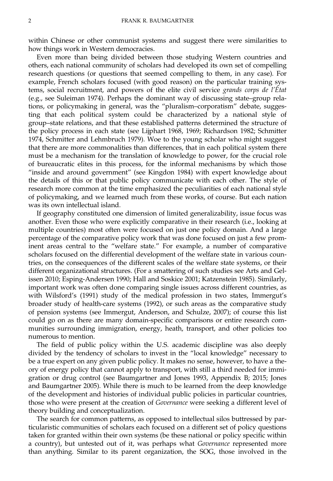within Chinese or other communist systems and suggest there were similarities to how things work in Western democracies.

Even more than being divided between those studying Western countries and others, each national community of scholars had developed its own set of compelling research questions (or questions that seemed compelling to them, in any case). For example, French scholars focused (with good reason) on the particular training systems, social recruitment, and powers of the elite civil service grands corps de l'État (e.g., see Suleiman 1974). Perhaps the dominant way of discussing state–group relations, or policymaking in general, was the "pluralism–corporatism" debate, suggesting that each political system could be characterized by a national style of group–state relations, and that these established patterns determined the structure of the policy process in each state (see Lijphart 1968, 1969; Richardson 1982; Schmitter 1974, Schmitter and Lehmbruch 1979). Woe to the young scholar who might suggest that there are more commonalities than differences, that in each political system there must be a mechanism for the translation of knowledge to power, for the crucial role of bureaucratic elites in this process, for the informal mechanisms by which those "inside and around government" (see Kingdon 1984) with expert knowledge about the details of this or that public policy communicate with each other. The style of research more common at the time emphasized the peculiarities of each national style of policymaking, and we learned much from these works, of course. But each nation was its own intellectual island.

If geography constituted one dimension of limited generalizability, issue focus was another. Even those who were explicitly comparative in their research (i.e., looking at multiple countries) most often were focused on just one policy domain. And a large percentage of the comparative policy work that was done focused on just a few prominent areas central to the "welfare state." For example, a number of comparative scholars focused on the differential development of the welfare state in various countries, on the consequences of the different scales of the welfare state systems, or their different organizational structures. (For a smattering of such studies see Arts and Gelissen 2010; Esping-Andersen 1990; Hall and Soskice 2001; Katzenstein 1985). Similarly, important work was often done comparing single issues across different countries, as with Wilsford's (1991) study of the medical profession in two states, Immergut's broader study of health-care systems (1992), or such areas as the comparative study of pension systems (see Immergut, Anderson, and Schulze, 2007); of course this list could go on as there are many domain-specific comparisons or entire research communities surrounding immigration, energy, heath, transport, and other policies too numerous to mention.

The field of public policy within the U.S. academic discipline was also deeply divided by the tendency of scholars to invest in the "local knowledge" necessary to be a true expert on any given public policy. It makes no sense, however, to have a theory of energy policy that cannot apply to transport, with still a third needed for immigration or drug control (see Baumgartner and Jones 1993, Appendix B; 2015; Jones and Baumgartner 2005). While there is much to be learned from the deep knowledge of the development and histories of individual public policies in particular countries, those who were present at the creation of Governance were seeking a different level of theory building and conceptualization.

The search for common patterns, as opposed to intellectual silos buttressed by particularistic communities of scholars each focused on a different set of policy questions taken for granted within their own systems (be these national or policy specific within a country), but untested out of it, was perhaps what Governance represented more than anything. Similar to its parent organization, the SOG, those involved in the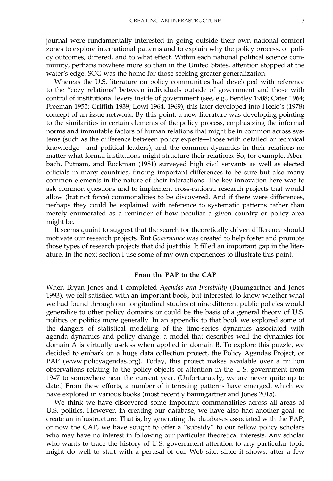journal were fundamentally interested in going outside their own national comfort zones to explore international patterns and to explain why the policy process, or policy outcomes, differed, and to what effect. Within each national political science community, perhaps nowhere more so than in the United States, attention stopped at the water's edge. SOG was the home for those seeking greater generalization.

Whereas the U.S. literature on policy communities had developed with reference to the "cozy relations" between individuals outside of government and those with control of institutional levers inside of government (see, e.g., Bentley 1908; Cater 1964; Freeman 1955; Griffith 1939; Lowi 1964, 1969), this later developed into Heclo's (1978) concept of an issue network. By this point, a new literature was developing pointing to the similarities in certain elements of the policy process, emphasizing the informal norms and immutable factors of human relations that might be in common across systems (such as the difference between policy experts—those with detailed or technical knowledge—and political leaders), and the common dynamics in their relations no matter what formal institutions might structure their relations. So, for example, Aberbach, Putnam, and Rockman (1981) surveyed high civil servants as well as elected officials in many countries, finding important differences to be sure but also many common elements in the nature of their interactions. The key innovation here was to ask common questions and to implement cross-national research projects that would allow (but not force) commonalities to be discovered. And if there were differences, perhaps they could be explained with reference to systematic patterns rather than merely enumerated as a reminder of how peculiar a given country or policy area might be.

It seems quaint to suggest that the search for theoretically driven difference should motivate our research projects. But Governance was created to help foster and promote those types of research projects that did just this. It filled an important gap in the literature. In the next section I use some of my own experiences to illustrate this point.

## From the PAP to the CAP

When Bryan Jones and I completed Agendas and Instability (Baumgartner and Jones 1993), we felt satisfied with an important book, but interested to know whether what we had found through our longitudinal studies of nine different public policies would generalize to other policy domains or could be the basis of a general theory of U.S. politics or politics more generally. In an appendix to that book we explored some of the dangers of statistical modeling of the time-series dynamics associated with agenda dynamics and policy change: a model that describes well the dynamics for domain A is virtually useless when applied in domain B. To explore this puzzle, we decided to embark on a huge data collection project, the Policy Agendas Project, or PAP [\(www.policyagendas.org](http://www.policyagendas.org)). Today, this project makes available over a million observations relating to the policy objects of attention in the U.S. government from 1947 to somewhere near the current year. (Unfortunately, we are never quite up to date.) From these efforts, a number of interesting patterns have emerged, which we have explored in various books (most recently Baumgartner and Jones 2015).

We think we have discovered some important commonalities across all areas of U.S. politics. However, in creating our database, we have also had another goal: to create an infrastructure. That is, by generating the databases associated with the PAP, or now the CAP, we have sought to offer a "subsidy" to our fellow policy scholars who may have no interest in following our particular theoretical interests. Any scholar who wants to trace the history of U.S. government attention to any particular topic might do well to start with a perusal of our Web site, since it shows, after a few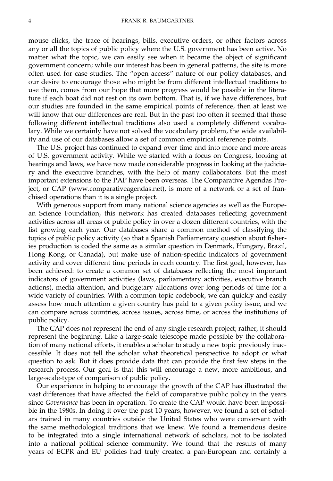mouse clicks, the trace of hearings, bills, executive orders, or other factors across any or all the topics of public policy where the U.S. government has been active. No matter what the topic, we can easily see when it became the object of significant government concern; while our interest has been in general patterns, the site is more often used for case studies. The "open access" nature of our policy databases, and our desire to encourage those who might be from different intellectual traditions to use them, comes from our hope that more progress would be possible in the literature if each boat did not rest on its own bottom. That is, if we have differences, but our studies are founded in the same empirical points of reference, then at least we will know that our differences are real. But in the past too often it seemed that those following different intellectual traditions also used a completely different vocabulary. While we certainly have not solved the vocabulary problem, the wide availability and use of our databases allow a set of common empirical reference points.

The U.S. project has continued to expand over time and into more and more areas of U.S. government activity. While we started with a focus on Congress, looking at hearings and laws, we have now made considerable progress in looking at the judiciary and the executive branches, with the help of many collaborators. But the most important extensions to the PAP have been overseas. The Comparative Agendas Project, or CAP ([www.comparativeagendas.net\)](http://www.comparativeagendas.net), is more of a network or a set of franchised operations than it is a single project.

With generous support from many national science agencies as well as the European Science Foundation, this network has created databases reflecting government activities across all areas of public policy in over a dozen different countries, with the list growing each year. Our databases share a common method of classifying the topics of public policy activity (so that a Spanish Parliamentary question about fisheries production is coded the same as a similar question in Denmark, Hungary, Brazil, Hong Kong, or Canada), but make use of nation-specific indicators of government activity and cover different time periods in each country. The first goal, however, has been achieved: to create a common set of databases reflecting the most important indicators of government activities (laws, parliamentary activities, executive branch actions), media attention, and budgetary allocations over long periods of time for a wide variety of countries. With a common topic codebook, we can quickly and easily assess how much attention a given country has paid to a given policy issue, and we can compare across countries, across issues, across time, or across the institutions of public policy.

The CAP does not represent the end of any single research project; rather, it should represent the beginning. Like a large-scale telescope made possible by the collaboration of many national efforts, it enables a scholar to study a new topic previously inaccessible. It does not tell the scholar what theoretical perspective to adopt or what question to ask. But it does provide data that can provide the first few steps in the research process. Our goal is that this will encourage a new, more ambitious, and large-scale-type of comparison of public policy.

Our experience in helping to encourage the growth of the CAP has illustrated the vast differences that have affected the field of comparative public policy in the years since Governance has been in operation. To create the CAP would have been impossible in the 1980s. In doing it over the past 10 years, however, we found a set of scholars trained in many countries outside the United States who were conversant with the same methodological traditions that we knew. We found a tremendous desire to be integrated into a single international network of scholars, not to be isolated into a national political science community. We found that the results of many years of ECPR and EU policies had truly created a pan-European and certainly a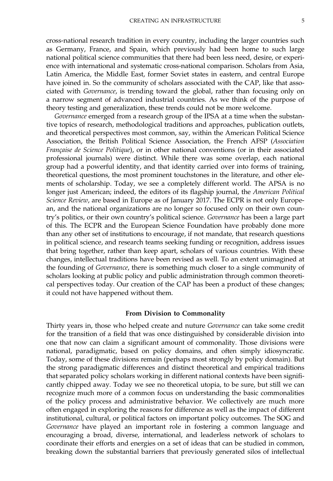cross-national research tradition in every country, including the larger countries such as Germany, France, and Spain, which previously had been home to such large national political science communities that there had been less need, desire, or experience with international and systematic cross-national comparison. Scholars from Asia, Latin America, the Middle East, former Soviet states in eastern, and central Europe have joined in. So the community of scholars associated with the CAP, like that associated with Governance, is trending toward the global, rather than focusing only on a narrow segment of advanced industrial countries. As we think of the purpose of theory testing and generalization, these trends could not be more welcome.

Governance emerged from a research group of the IPSA at a time when the substantive topics of research, methodological traditions and approaches, publication outlets, and theoretical perspectives most common, say, within the American Political Science Association, the British Political Science Association, the French AFSP (Association Française de Science Politique), or in other national conventions (or in their associated professional journals) were distinct. While there was some overlap, each national group had a powerful identity, and that identity carried over into forms of training, theoretical questions, the most prominent touchstones in the literature, and other elements of scholarship. Today, we see a completely different world. The APSA is no longer just American; indeed, the editors of its flagship journal, the American Political Science Review, are based in Europe as of January 2017. The ECPR is not only European, and the national organizations are no longer so focused only on their own country's politics, or their own country's political science. Governance has been a large part of this. The ECPR and the European Science Foundation have probably done more than any other set of institutions to encourage, if not mandate, that research questions in political science, and research teams seeking funding or recognition, address issues that bring together, rather than keep apart, scholars of various countries. With these changes, intellectual traditions have been revised as well. To an extent unimagined at the founding of *Governance*, there is something much closer to a single community of scholars looking at public policy and public administration through common theoretical perspectives today. Our creation of the CAP has been a product of these changes; it could not have happened without them.

#### From Division to Commonality

Thirty years in, those who helped create and nuture Governance can take some credit for the transition of a field that was once distinguished by considerable division into one that now can claim a significant amount of commonality. Those divisions were national, paradigmatic, based on policy domains, and often simply idiosyncratic. Today, some of these divisions remain (perhaps most strongly by policy domain). But the strong paradigmatic differences and distinct theoretical and empirical traditions that separated policy scholars working in different national contexts have been significantly chipped away. Today we see no theoretical utopia, to be sure, but still we can recognize much more of a common focus on understanding the basic commonalities of the policy process and administrative behavior. We collectively are much more often engaged in exploring the reasons for difference as well as the impact of different institutional, cultural, or political factors on important policy outcomes. The SOG and Governance have played an important role in fostering a common language and encouraging a broad, diverse, international, and leaderless network of scholars to coordinate their efforts and energies on a set of ideas that can be studied in common, breaking down the substantial barriers that previously generated silos of intellectual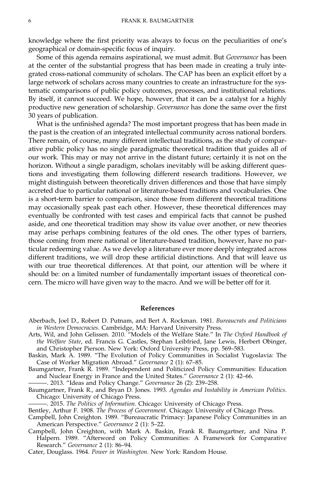knowledge where the first priority was always to focus on the peculiarities of one's geographical or domain-specific focus of inquiry.

Some of this agenda remains aspirational, we must admit. But Governance has been at the center of the substantial progress that has been made in creating a truly integrated cross-national community of scholars. The CAP has been an explicit effort by a large network of scholars across many countries to create an infrastructure for the systematic comparisons of public policy outcomes, processes, and institutional relations. By itself, it cannot succeed. We hope, however, that it can be a catalyst for a highly productive new generation of scholarship. Governance has done the same over the first 30 years of publication.

What is the unfinished agenda? The most important progress that has been made in the past is the creation of an integrated intellectual community across national borders. There remain, of course, many different intellectual traditions, as the study of comparative public policy has no single paradigmatic theoretical tradition that guides all of our work. This may or may not arrive in the distant future; certainly it is not on the horizon. Without a single paradigm, scholars inevitably will be asking different questions and investigating them following different research traditions. However, we might distinguish between theoretically driven differences and those that have simply accreted due to particular national or literature-based traditions and vocabularies. One is a short-term barrier to comparison, since those from different theoretical traditions may occasionally speak past each other. However, these theoretical differences may eventually be confronted with test cases and empirical facts that cannot be pushed aside, and one theoretical tradition may show its value over another, or new theories may arise perhaps combining features of the old ones. The other types of barriers, those coming from mere national or literature-based tradition, however, have no particular redeeming value. As we develop a literature ever more deeply integrated across different traditions, we will drop these artificial distinctions. And that will leave us with our true theoretical differences. At that point, our attention will be where it should be: on a limited number of fundamentally important issues of theoretical concern. The micro will have given way to the macro. And we will be better off for it.

#### References

- Aberbach, Joel D., Robert D. Putnam, and Bert A. Rockman. 1981. Bureaucrats and Politicians in Western Democracies. Cambridge, MA: Harvard University Press.
- Arts, Wil, and John Gelissen. 2010. "Models of the Welfare State." In The Oxford Handbook of the Welfare State, ed. Francis G. Castles, Stephan Leibfried, Jane Lewis, Herbert Obinger, and Christopher Pierson. New York: Oxford University Press, pp. 569–583.
- Baskin, Mark A. 1989. "The Evolution of Policy Communities in Socialist Yugoslavia: The Case of Worker Migration Abroad." Governance 2 (1): 67–85.
- Baumgartner, Frank R. 1989. "Independent and Politicized Policy Communities: Education and Nuclear Energy in France and the United States." Governance 2 (1): 42–66.
- 2013. "Ideas and Policy Change." Governance 26 (2): 239-258.
- Baumgartner, Frank R., and Bryan D. Jones. 1993. Agendas and Instability in American Politics. Chicago: University of Chicago Press.

-. 2015. The Politics of Information. Chicago: University of Chicago Press.

- Bentley, Arthur F. 1908. The Process of Government. Chicago: University of Chicago Press.
- Campbell, John Creighton. 1989. "Bureaucratic Primacy: Japanese Policy Communities in an American Perspective." Governance 2 (1): 5–22.
- Campbell, John Creighton, with Mark A. Baskin, Frank R. Baumgartner, and Nina P. Halpern. 1989. "Afterword on Policy Communities: A Framework for Comparative Research." Governance 2 (1): 86–94.
- Cater, Douglass. 1964. Power in Washington. New York: Random House.